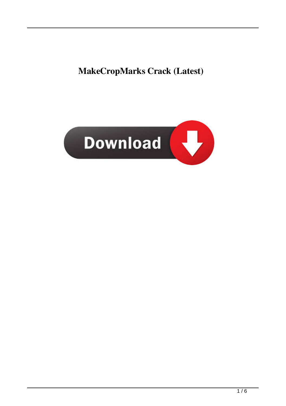# **MakeCropMarks Crack (Latest)**

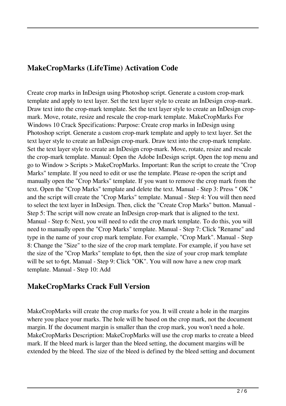### **MakeCropMarks (LifeTime) Activation Code**

Create crop marks in InDesign using Photoshop script. Generate a custom crop-mark template and apply to text layer. Set the text layer style to create an InDesign crop-mark. Draw text into the crop-mark template. Set the text layer style to create an InDesign cropmark. Move, rotate, resize and rescale the crop-mark template. MakeCropMarks For Windows 10 Crack Specifications: Purpose: Create crop marks in InDesign using Photoshop script. Generate a custom crop-mark template and apply to text layer. Set the text layer style to create an InDesign crop-mark. Draw text into the crop-mark template. Set the text layer style to create an InDesign crop-mark. Move, rotate, resize and rescale the crop-mark template. Manual: Open the Adobe InDesign script. Open the top menu and go to Window > Scripts > MakeCropMarks. Important: Run the script to create the "Crop Marks" template. If you need to edit or use the template. Please re-open the script and manually open the "Crop Marks" template. If you want to remove the crop mark from the text. Open the "Crop Marks" template and delete the text. Manual - Step 3: Press " OK " and the script will create the "Crop Marks" template. Manual - Step 4: You will then need to select the text layer in InDesign. Then, click the "Create Crop Marks" button. Manual - Step 5: The script will now create an InDesign crop-mark that is aligned to the text. Manual - Step 6: Next, you will need to edit the crop mark template. To do this, you will need to manually open the "Crop Marks" template. Manual - Step 7: Click "Rename" and type in the name of your crop mark template. For example, "Crop Mark". Manual - Step 8: Change the "Size" to the size of the crop mark template. For example, if you have set the size of the "Crop Marks" template to 6pt, then the size of your crop mark template will be set to 6pt. Manual - Step 9: Click "OK". You will now have a new crop mark template. Manual - Step 10: Add

#### **MakeCropMarks Crack Full Version**

MakeCropMarks will create the crop marks for you. It will create a hole in the margins where you place your marks. The hole will be based on the crop mark, not the document margin. If the document margin is smaller than the crop mark, you won't need a hole. MakeCropMarks Description: MakeCropMarks will use the crop marks to create a bleed mark. If the bleed mark is larger than the bleed setting, the document margins will be extended by the bleed. The size of the bleed is defined by the bleed setting and document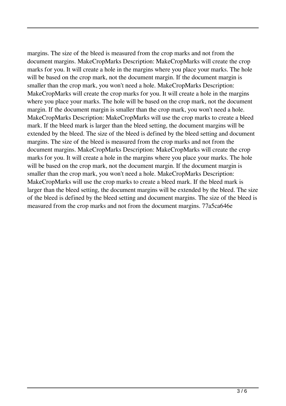margins. The size of the bleed is measured from the crop marks and not from the document margins. MakeCropMarks Description: MakeCropMarks will create the crop marks for you. It will create a hole in the margins where you place your marks. The hole will be based on the crop mark, not the document margin. If the document margin is smaller than the crop mark, you won't need a hole. MakeCropMarks Description: MakeCropMarks will create the crop marks for you. It will create a hole in the margins where you place your marks. The hole will be based on the crop mark, not the document margin. If the document margin is smaller than the crop mark, you won't need a hole. MakeCropMarks Description: MakeCropMarks will use the crop marks to create a bleed mark. If the bleed mark is larger than the bleed setting, the document margins will be extended by the bleed. The size of the bleed is defined by the bleed setting and document margins. The size of the bleed is measured from the crop marks and not from the document margins. MakeCropMarks Description: MakeCropMarks will create the crop marks for you. It will create a hole in the margins where you place your marks. The hole will be based on the crop mark, not the document margin. If the document margin is smaller than the crop mark, you won't need a hole. MakeCropMarks Description: MakeCropMarks will use the crop marks to create a bleed mark. If the bleed mark is larger than the bleed setting, the document margins will be extended by the bleed. The size of the bleed is defined by the bleed setting and document margins. The size of the bleed is measured from the crop marks and not from the document margins. 77a5ca646e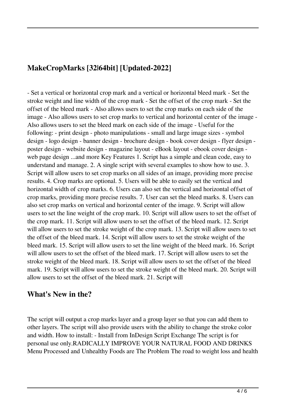## **MakeCropMarks [32|64bit] [Updated-2022]**

- Set a vertical or horizontal crop mark and a vertical or horizontal bleed mark - Set the stroke weight and line width of the crop mark - Set the offset of the crop mark - Set the offset of the bleed mark - Also allows users to set the crop marks on each side of the image - Also allows users to set crop marks to vertical and horizontal center of the image - Also allows users to set the bleed mark on each side of the image - Useful for the following: - print design - photo manipulations - small and large image sizes - symbol design - logo design - banner design - brochure design - book cover design - flyer design poster design - website design - magazine layout - eBook layout - ebook cover design web page design ...and more Key Features 1. Script has a simple and clean code, easy to understand and manage. 2. A single script with several examples to show how to use. 3. Script will allow users to set crop marks on all sides of an image, providing more precise results. 4. Crop marks are optional. 5. Users will be able to easily set the vertical and horizontal width of crop marks. 6. Users can also set the vertical and horizontal offset of crop marks, providing more precise results. 7. User can set the bleed marks. 8. Users can also set crop marks on vertical and horizontal center of the image. 9. Script will allow users to set the line weight of the crop mark. 10. Script will allow users to set the offset of the crop mark. 11. Script will allow users to set the offset of the bleed mark. 12. Script will allow users to set the stroke weight of the crop mark. 13. Script will allow users to set the offset of the bleed mark. 14. Script will allow users to set the stroke weight of the bleed mark. 15. Script will allow users to set the line weight of the bleed mark. 16. Script will allow users to set the offset of the bleed mark. 17. Script will allow users to set the stroke weight of the bleed mark. 18. Script will allow users to set the offset of the bleed mark. 19. Script will allow users to set the stroke weight of the bleed mark. 20. Script will allow users to set the offset of the bleed mark. 21. Script will

#### **What's New in the?**

The script will output a crop marks layer and a group layer so that you can add them to other layers. The script will also provide users with the ability to change the stroke color and width. How to install: - Install from InDesign Script Exchange The script is for personal use only.RADICALLY IMPROVE YOUR NATURAL FOOD AND DRINKS Menu Processed and Unhealthy Foods are The Problem The road to weight loss and health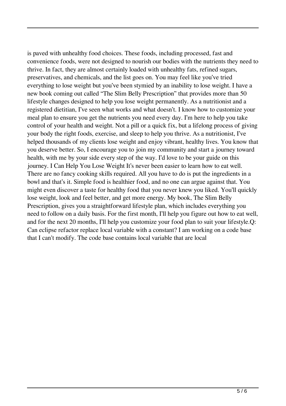is paved with unhealthy food choices. These foods, including processed, fast and convenience foods, were not designed to nourish our bodies with the nutrients they need to thrive. In fact, they are almost certainly loaded with unhealthy fats, refined sugars, preservatives, and chemicals, and the list goes on. You may feel like you've tried everything to lose weight but you've been stymied by an inability to lose weight. I have a new book coming out called "The Slim Belly Prescription" that provides more than 50 lifestyle changes designed to help you lose weight permanently. As a nutritionist and a registered dietitian, I've seen what works and what doesn't. I know how to customize your meal plan to ensure you get the nutrients you need every day. I'm here to help you take control of your health and weight. Not a pill or a quick fix, but a lifelong process of giving your body the right foods, exercise, and sleep to help you thrive. As a nutritionist, I've helped thousands of my clients lose weight and enjoy vibrant, healthy lives. You know that you deserve better. So, I encourage you to join my community and start a journey toward health, with me by your side every step of the way. I'd love to be your guide on this journey. I Can Help You Lose Weight It's never been easier to learn how to eat well. There are no fancy cooking skills required. All you have to do is put the ingredients in a bowl and that's it. Simple food is healthier food, and no one can argue against that. You might even discover a taste for healthy food that you never knew you liked. You'll quickly lose weight, look and feel better, and get more energy. My book, The Slim Belly Prescription, gives you a straightforward lifestyle plan, which includes everything you need to follow on a daily basis. For the first month, I'll help you figure out how to eat well, and for the next 20 months, I'll help you customize your food plan to suit your lifestyle.Q: Can eclipse refactor replace local variable with a constant? I am working on a code base that I can't modify. The code base contains local variable that are local